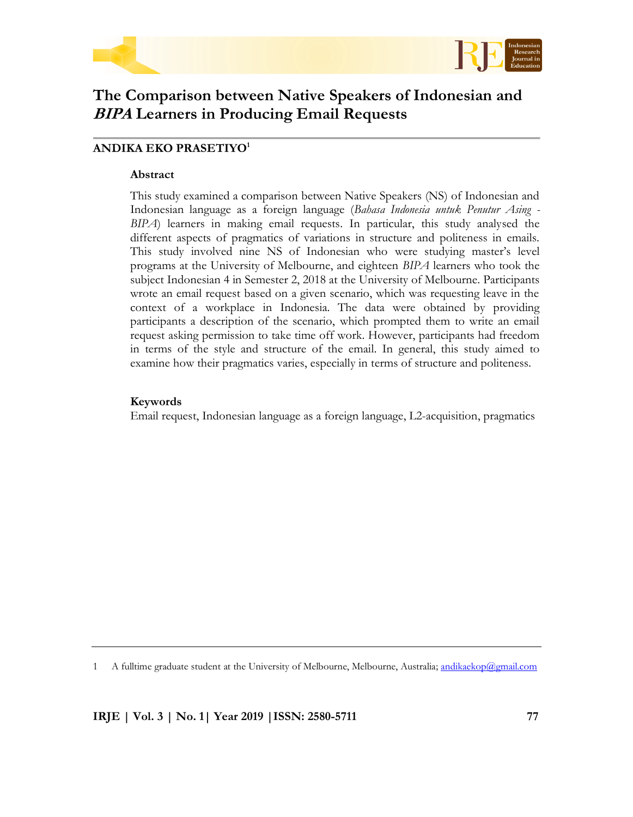



# **The Comparison between Native Speakers of Indonesian and BIPA Learners in Producing Email Requests**

# **ANDIKA EKO PRASETIYO<sup>1</sup>**

#### **Abstract**

This study examined a comparison between Native Speakers (NS) of Indonesian and Indonesian language as a foreign language (*Bahasa Indonesia untuk Penutur Asing - BIPA*) learners in making email requests. In particular, this study analysed the different aspects of pragmatics of variations in structure and politeness in emails. This study involved nine NS of Indonesian who were studying master's level programs at the University of Melbourne, and eighteen *BIPA* learners who took the subject Indonesian 4 in Semester 2, 2018 at the University of Melbourne. Participants wrote an email request based on a given scenario, which was requesting leave in the context of a workplace in Indonesia. The data were obtained by providing participants a description of the scenario, which prompted them to write an email request asking permission to take time off work. However, participants had freedom in terms of the style and structure of the email. In general, this study aimed to examine how their pragmatics varies, especially in terms of structure and politeness.

#### **Keywords**

Email request, Indonesian language as a foreign language, L2-acquisition, pragmatics

1 A fulltime graduate student at the University of Melbourne, Melbourne, Australia; [andikaekop@gmail.com](mailto:andikaekop@gmail.com)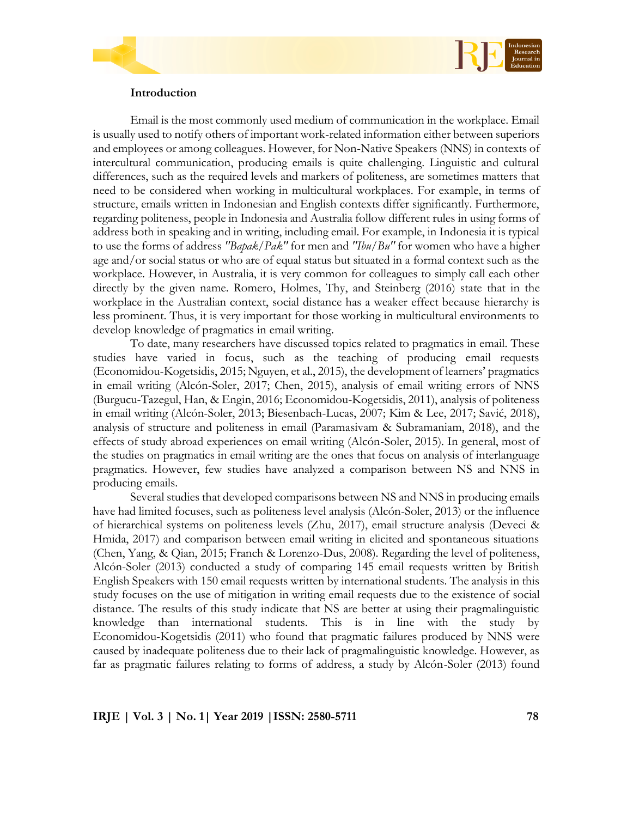

#### **Introduction**

Email is the most commonly used medium of communication in the workplace. Email is usually used to notify others of important work-related information either between superiors and employees or among colleagues. However, for Non-Native Speakers (NNS) in contexts of intercultural communication, producing emails is quite challenging. Linguistic and cultural differences, such as the required levels and markers of politeness, are sometimes matters that need to be considered when working in multicultural workplaces. For example, in terms of structure, emails written in Indonesian and English contexts differ significantly. Furthermore, regarding politeness, people in Indonesia and Australia follow different rules in using forms of address both in speaking and in writing, including email. For example, in Indonesia it is typical to use the forms of address *"Bapak/Pak"* for men and *"Ibu/Bu"* for women who have a higher age and/or social status or who are of equal status but situated in a formal context such as the workplace. However, in Australia, it is very common for colleagues to simply call each other directly by the given name. Romero, Holmes, Thy, and Steinberg (2016) state that in the workplace in the Australian context, social distance has a weaker effect because hierarchy is less prominent. Thus, it is very important for those working in multicultural environments to develop knowledge of pragmatics in email writing.

To date, many researchers have discussed topics related to pragmatics in email. These studies have varied in focus, such as the teaching of producing email requests (Economidou-Kogetsidis, 2015; Nguyen, et al., 2015), the development of learners" pragmatics in email writing (Alcón-Soler, 2017; Chen, 2015), analysis of email writing errors of NNS (Burgucu-Tazegul, Han, & Engin, 2016; Economidou-Kogetsidis, 2011), analysis of politeness in email writing (Alcón-Soler, 2013; Biesenbach-Lucas, 2007; Kim & Lee, 2017; Savić, 2018), analysis of structure and politeness in email (Paramasivam & Subramaniam, 2018), and the effects of study abroad experiences on email writing (Alcón-Soler, 2015). In general, most of the studies on pragmatics in email writing are the ones that focus on analysis of interlanguage pragmatics. However, few studies have analyzed a comparison between NS and NNS in producing emails.

Several studies that developed comparisons between NS and NNS in producing emails have had limited focuses, such as politeness level analysis (Alcón-Soler, 2013) or the influence of hierarchical systems on politeness levels (Zhu, 2017), email structure analysis (Deveci & Hmida, 2017) and comparison between email writing in elicited and spontaneous situations (Chen, Yang, & Qian, 2015; Franch & Lorenzo-Dus, 2008). Regarding the level of politeness, Alcón-Soler (2013) conducted a study of comparing 145 email requests written by British English Speakers with 150 email requests written by international students. The analysis in this study focuses on the use of mitigation in writing email requests due to the existence of social distance. The results of this study indicate that NS are better at using their pragmalinguistic knowledge than international students. This is in line with the study by Economidou-Kogetsidis (2011) who found that pragmatic failures produced by NNS were caused by inadequate politeness due to their lack of pragmalinguistic knowledge. However, as far as pragmatic failures relating to forms of address, a study by Alcón-Soler (2013) found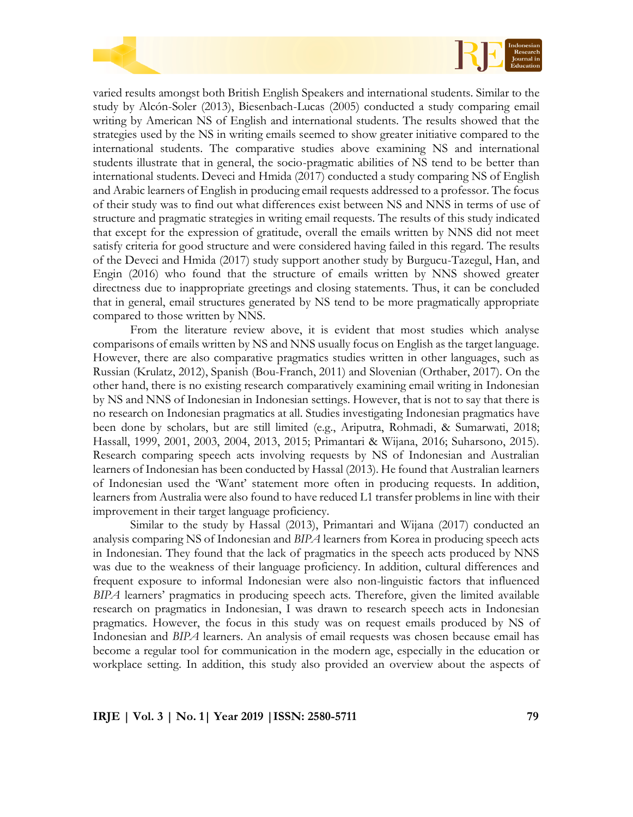



varied results amongst both British English Speakers and international students. Similar to the study by Alcón-Soler (2013), Biesenbach-Lucas (2005) conducted a study comparing email writing by American NS of English and international students. The results showed that the strategies used by the NS in writing emails seemed to show greater initiative compared to the international students. The comparative studies above examining NS and international students illustrate that in general, the socio-pragmatic abilities of NS tend to be better than international students. Deveci and Hmida (2017) conducted a study comparing NS of English and Arabic learners of English in producing email requests addressed to a professor. The focus of their study was to find out what differences exist between NS and NNS in terms of use of structure and pragmatic strategies in writing email requests. The results of this study indicated that except for the expression of gratitude, overall the emails written by NNS did not meet satisfy criteria for good structure and were considered having failed in this regard. The results of the Deveci and Hmida (2017) study support another study by Burgucu-Tazegul, Han, and Engin (2016) who found that the structure of emails written by NNS showed greater directness due to inappropriate greetings and closing statements. Thus, it can be concluded that in general, email structures generated by NS tend to be more pragmatically appropriate compared to those written by NNS.

From the literature review above, it is evident that most studies which analyse comparisons of emails written by NS and NNS usually focus on English as the target language. However, there are also comparative pragmatics studies written in other languages, such as Russian (Krulatz, 2012), Spanish (Bou-Franch, 2011) and Slovenian (Orthaber, 2017). On the other hand, there is no existing research comparatively examining email writing in Indonesian by NS and NNS of Indonesian in Indonesian settings. However, that is not to say that there is no research on Indonesian pragmatics at all. Studies investigating Indonesian pragmatics have been done by scholars, but are still limited (e.g., Ariputra, Rohmadi, & Sumarwati, 2018; Hassall, 1999, 2001, 2003, 2004, 2013, 2015; Primantari & Wijana, 2016; Suharsono, 2015). Research comparing speech acts involving requests by NS of Indonesian and Australian learners of Indonesian has been conducted by Hassal (2013). He found that Australian learners of Indonesian used the "Want" statement more often in producing requests. In addition, learners from Australia were also found to have reduced L1 transfer problems in line with their improvement in their target language proficiency.

Similar to the study by Hassal (2013), Primantari and Wijana (2017) conducted an analysis comparing NS of Indonesian and *BIPA* learners from Korea in producing speech acts in Indonesian. They found that the lack of pragmatics in the speech acts produced by NNS was due to the weakness of their language proficiency. In addition, cultural differences and frequent exposure to informal Indonesian were also non-linguistic factors that influenced *BIPA* learners' pragmatics in producing speech acts. Therefore, given the limited available research on pragmatics in Indonesian, I was drawn to research speech acts in Indonesian pragmatics. However, the focus in this study was on request emails produced by NS of Indonesian and *BIPA* learners. An analysis of email requests was chosen because email has become a regular tool for communication in the modern age, especially in the education or workplace setting. In addition, this study also provided an overview about the aspects of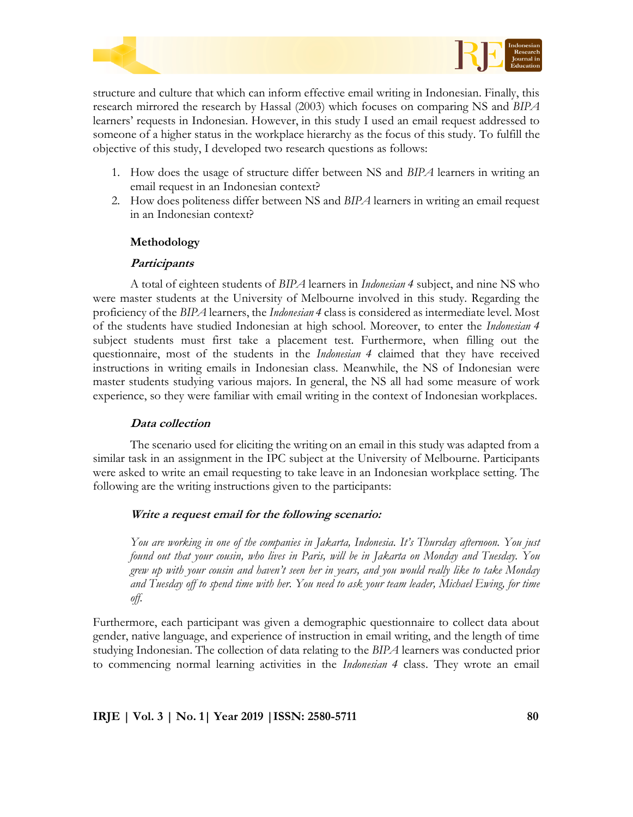



structure and culture that which can inform effective email writing in Indonesian. Finally, this research mirrored the research by Hassal (2003) which focuses on comparing NS and *BIPA* learners' requests in Indonesian. However, in this study I used an email request addressed to someone of a higher status in the workplace hierarchy as the focus of this study. To fulfill the objective of this study, I developed two research questions as follows:

- 1. How does the usage of structure differ between NS and *BIPA* learners in writing an email request in an Indonesian context?
- 2. How does politeness differ between NS and *BIPA* learners in writing an email request in an Indonesian context?

# **Methodology**

## **Participants**

A total of eighteen students of *BIPA* learners in *Indonesian 4* subject, and nine NS who were master students at the University of Melbourne involved in this study. Regarding the proficiency of the *BIPA* learners, the *Indonesian 4* class is considered as intermediate level. Most of the students have studied Indonesian at high school. Moreover, to enter the *Indonesian 4* subject students must first take a placement test. Furthermore, when filling out the questionnaire, most of the students in the *Indonesian 4* claimed that they have received instructions in writing emails in Indonesian class. Meanwhile, the NS of Indonesian were master students studying various majors. In general, the NS all had some measure of work experience, so they were familiar with email writing in the context of Indonesian workplaces.

## **Data collection**

The scenario used for eliciting the writing on an email in this study was adapted from a similar task in an assignment in the IPC subject at the University of Melbourne. Participants were asked to write an email requesting to take leave in an Indonesian workplace setting. The following are the writing instructions given to the participants:

## **Write a request email for the following scenario:**

*You are working in one of the companies in Jakarta, Indonesia. It's Thursday afternoon. You just found out that your cousin, who lives in Paris, will be in Jakarta on Monday and Tuesday. You* grew up with your cousin and haven't seen her in years, and you would really like to take Monday and Tuesday off to spend time with her. You need to ask your team leader, Michael Ewing, for time *off.*

Furthermore, each participant was given a demographic questionnaire to collect data about gender, native language, and experience of instruction in email writing, and the length of time studying Indonesian. The collection of data relating to the *BIPA* learners was conducted prior to commencing normal learning activities in the *Indonesian 4* class. They wrote an email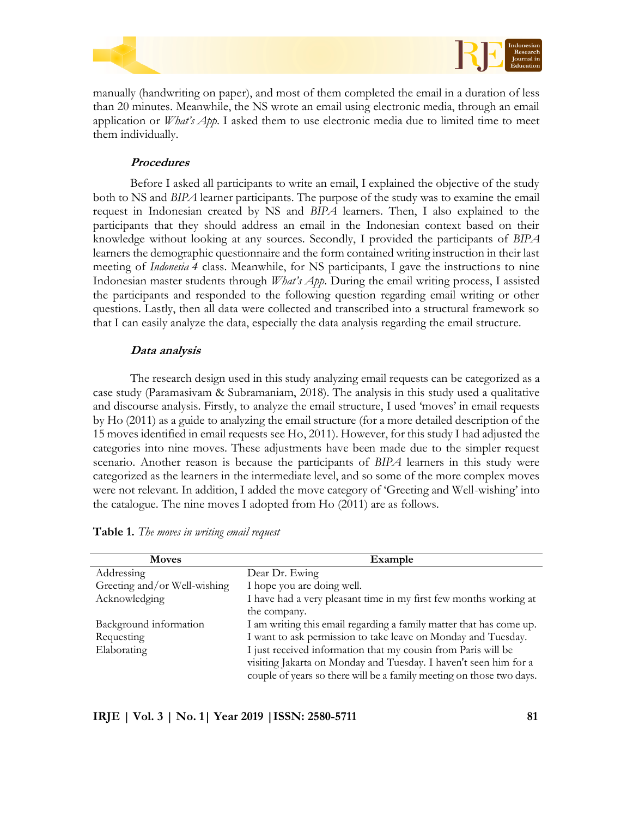



manually (handwriting on paper), and most of them completed the email in a duration of less than 20 minutes. Meanwhile, the NS wrote an email using electronic media, through an email application or *What's App*. I asked them to use electronic media due to limited time to meet them individually.

## **Procedures**

Before I asked all participants to write an email, I explained the objective of the study both to NS and *BIPA* learner participants. The purpose of the study was to examine the email request in Indonesian created by NS and *BIPA* learners. Then, I also explained to the participants that they should address an email in the Indonesian context based on their knowledge without looking at any sources. Secondly, I provided the participants of *BIPA* learners the demographic questionnaire and the form contained writing instruction in their last meeting of *Indonesia 4* class. Meanwhile, for NS participants, I gave the instructions to nine Indonesian master students through *What's App*. During the email writing process, I assisted the participants and responded to the following question regarding email writing or other questions. Lastly, then all data were collected and transcribed into a structural framework so that I can easily analyze the data, especially the data analysis regarding the email structure.

## **Data analysis**

The research design used in this study analyzing email requests can be categorized as a case study (Paramasivam & Subramaniam, 2018). The analysis in this study used a qualitative and discourse analysis. Firstly, to analyze the email structure, I used 'moves' in email requests by Ho (2011) as a guide to analyzing the email structure (for a more detailed description of the 15 moves identified in email requests see Ho, 2011). However, for this study I had adjusted the categories into nine moves. These adjustments have been made due to the simpler request scenario. Another reason is because the participants of *BIPA* learners in this study were categorized as the learners in the intermediate level, and so some of the more complex moves were not relevant. In addition, I added the move category of 'Greeting and Well-wishing' into the catalogue. The nine moves I adopted from Ho (2011) are as follows.

| <b>Moves</b>                 | Example                                                              |
|------------------------------|----------------------------------------------------------------------|
| Addressing                   | Dear Dr. Ewing                                                       |
| Greeting and/or Well-wishing | I hope you are doing well.                                           |
| Acknowledging                | I have had a very pleasant time in my first few months working at    |
|                              | the company.                                                         |
| Background information       | I am writing this email regarding a family matter that has come up.  |
| Requesting                   | I want to ask permission to take leave on Monday and Tuesday.        |
| Elaborating                  | I just received information that my cousin from Paris will be        |
|                              | visiting Jakarta on Monday and Tuesday. I haven't seen him for a     |
|                              | couple of years so there will be a family meeting on those two days. |

**Table 1.** *The moves in writing email request*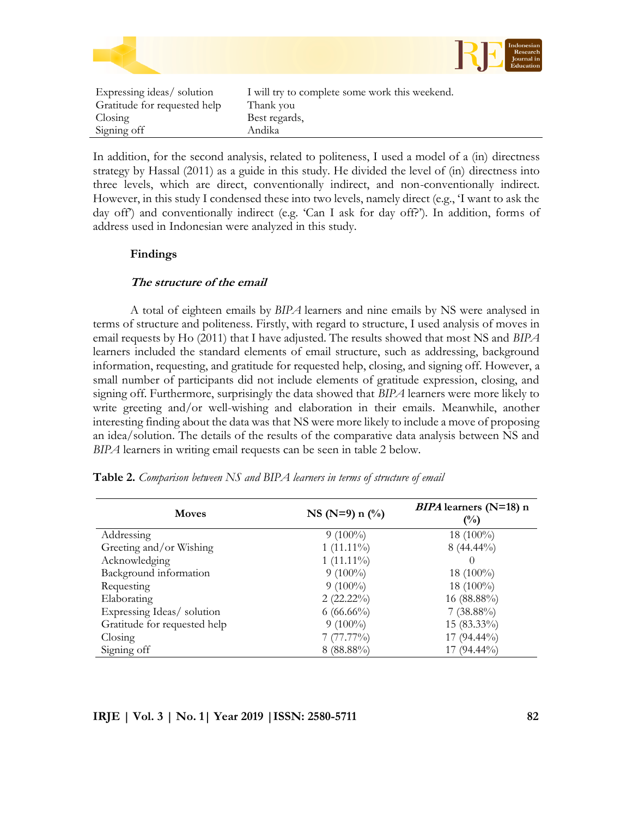

In addition, for the second analysis, related to politeness, I used a model of a (in) directness strategy by Hassal (2011) as a guide in this study. He divided the level of (in) directness into three levels, which are direct, conventionally indirect, and non-conventionally indirect. However, in this study I condensed these into two levels, namely direct (e.g., "I want to ask the day off) and conventionally indirect (e.g. 'Can I ask for day off?'). In addition, forms of address used in Indonesian were analyzed in this study.

# **Findings**

# **The structure of the email**

Signing off Andika

A total of eighteen emails by *BIPA* learners and nine emails by NS were analysed in terms of structure and politeness. Firstly, with regard to structure, I used analysis of moves in email requests by Ho (2011) that I have adjusted. The results showed that most NS and *BIPA* learners included the standard elements of email structure, such as addressing, background information, requesting, and gratitude for requested help, closing, and signing off. However, a small number of participants did not include elements of gratitude expression, closing, and signing off. Furthermore, surprisingly the data showed that *BIPA* learners were more likely to write greeting and/or well-wishing and elaboration in their emails. Meanwhile, another interesting finding about the data was that NS were more likely to include a move of proposing an idea/solution. The details of the results of the comparative data analysis between NS and *BIPA* learners in writing email requests can be seen in table 2 below.

| <b>Moves</b>                 | $NS(N=9) n$ (%) | <i>BIPA</i> learners ( $N=18$ ) n<br>$(\%)$ |
|------------------------------|-----------------|---------------------------------------------|
| Addressing                   | $9(100\%)$      | 18 $(100\%)$                                |
| Greeting and/or Wishing      | $1(11.11\%)$    | $8(44.44\%)$                                |
| Acknowledging                | $1(11.11\%)$    | $\cup$                                      |
| Background information       | $9(100\%)$      | 18 $(100\%)$                                |
| Requesting                   | $9(100\%)$      | 18 $(100\%)$                                |
| Elaborating                  | $2(22.22\%)$    | 16 (88.88%)                                 |
| Expressing Ideas/ solution   | $6(66.66\%)$    | $7(38.88\%)$                                |
| Gratitude for requested help | $9(100\%)$      | $15(83.33\%)$                               |
| Closing                      | 7(77.77%)       | $17(94.44\%)$                               |
| Signing off                  | $8(88.88\%)$    | $17(94.44\%)$                               |

**Table 2.** *Comparison between NS and BIPA learners in terms of structure of email*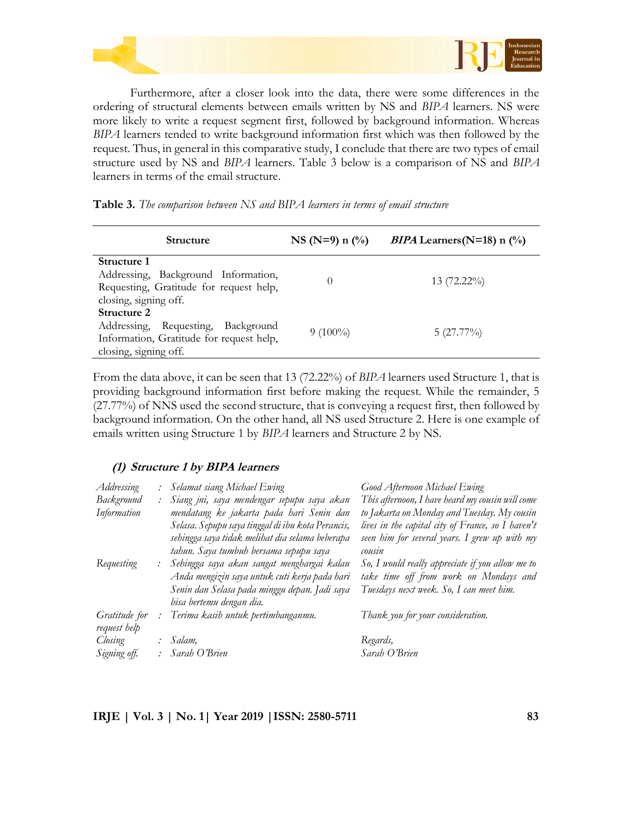

Furthermore, after a closer look into the data, there were some differences in the ordering of structural elements between emails written by NS and *BIPA* learners. NS were more likely to write a request segment first, followed by background information. Whereas *BIPA* learners tended to write background information first which was then followed by the request. Thus, in general in this comparative study, I conclude that there are two types of email structure used by NS and *BIPA* learners. Table 3 below is a comparison of NS and *BIPA* learners in terms of the email structure.

| <b>Structure</b>                                                                                                       | $NS(N=9) n$ (%) | <i>BIPA</i> Learners (N=18) n $\binom{0}{0}$ |
|------------------------------------------------------------------------------------------------------------------------|-----------------|----------------------------------------------|
| Structure 1<br>Addressing, Background Information,<br>Requesting, Gratitude for request help,<br>closing, signing off. |                 | 13 $(72.22\%)$                               |
| Structure 2<br>Addressing, Requesting, Background<br>Information, Gratitude for request help,<br>closing, signing off. | $9(100\%)$      | $5(27.77\%)$                                 |

|  |  |  | <b>Table 3.</b> The comparison between NS and BIPA learners in terms of email structure |  |  |
|--|--|--|-----------------------------------------------------------------------------------------|--|--|
|--|--|--|-----------------------------------------------------------------------------------------|--|--|

From the data above, it can be seen that 13 (72.22%) of *BIPA* learners used Structure 1, that is providing background information first before making the request. While the remainder, 5 (27.77%) of NNS used the second structure, that is conveying a request first, then followed by background information. On the other hand, all NS used Structure 2. Here is one example of emails written using Structure 1 by *BIPA* learners and Structure 2 by NS.

# **(1) Structure 1 by BIPA learners**

| Addressing                    | $\mathcal{L}$  | Selamat siang Michael Ewing                                                                                                                                                                                                                                                                    | Good Afternoon Michael Ewing                                                                                                                                                                                                                          |
|-------------------------------|----------------|------------------------------------------------------------------------------------------------------------------------------------------------------------------------------------------------------------------------------------------------------------------------------------------------|-------------------------------------------------------------------------------------------------------------------------------------------------------------------------------------------------------------------------------------------------------|
| Background                    | $\ddot{\cdot}$ | Siang jni, saya mendengar sepupu saya akan                                                                                                                                                                                                                                                     | This afternoon, I have heard my cousin will come                                                                                                                                                                                                      |
| Information                   |                | mendatang ke jakarta pada hari Senin dan                                                                                                                                                                                                                                                       | to Jakarta on Monday and Tuesday. My cousin                                                                                                                                                                                                           |
| Requesting                    | ÷              | Selasa. Sepupu saya tinggal di ibu kota Perancis,<br>sehingga saya tidak melihat dia selama beberapa<br>tahun. Saya tumbuh bersama sepupu saya<br>Sehingga saya akan sangat menghargai kalau<br>Anda mengizin saya untuk cuti kerja pada hari<br>Senin dan Selasa pada minggu depan. Jadi saya | lives in the capital city of France, so I haven't<br>seen him for several years. I grew up with my<br>cousin<br>So, I would really appreciate if you allow me to<br>take time off from work on Mondays and<br>Tuesdays next week. So, I can meet him. |
|                               |                | bisa bertemu dengan dia.                                                                                                                                                                                                                                                                       |                                                                                                                                                                                                                                                       |
| Gratitude for<br>request help |                | Terima kasih untuk pertimbanganmu.                                                                                                                                                                                                                                                             | Thank you for your consideration.                                                                                                                                                                                                                     |
| Closing                       |                | Salam,                                                                                                                                                                                                                                                                                         | Regards,                                                                                                                                                                                                                                              |
| Signing off.                  |                | : Sarah O'Brien                                                                                                                                                                                                                                                                                | Sarah O'Brien                                                                                                                                                                                                                                         |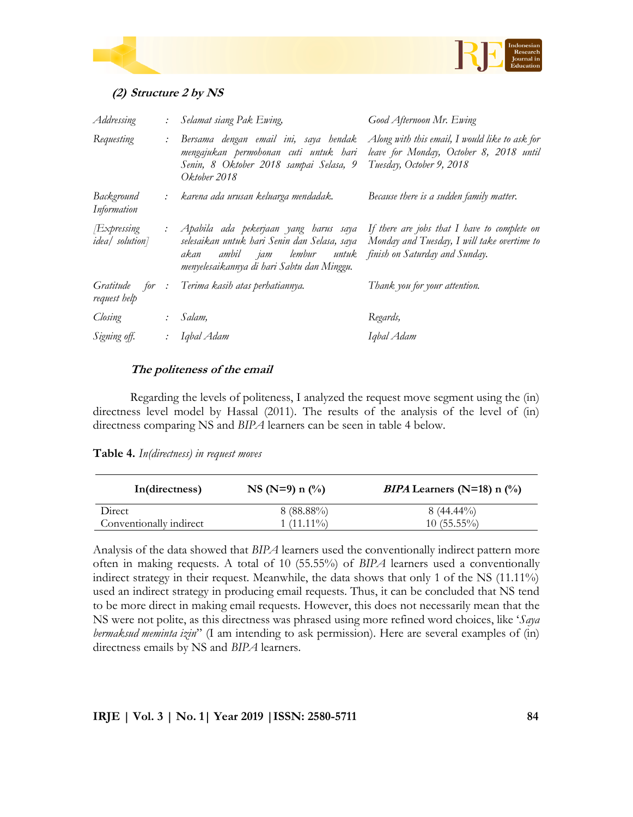



# **(2) Structure 2 by NS**

| Addressing                            | $\ddot{\cdot}$ | Selamat siang Pak Ewing,                                                                                                                                           | Good Afternoon Mr. Ewing                                                                                                      |
|---------------------------------------|----------------|--------------------------------------------------------------------------------------------------------------------------------------------------------------------|-------------------------------------------------------------------------------------------------------------------------------|
| Requesting                            | :              | Bersama dengan email ini, saya hendak<br>mengajukan permohonan cuti untuk hari<br>Senin, 8 Oktober 2018 sampai Selasa, 9<br>Oktober 2018                           | Along with this email, I would like to ask for<br>leave for Monday, October 8, 2018 until<br>Tuesday, October 9, 2018         |
| Background<br>Information             |                | karena ada urusan keluarga mendadak.                                                                                                                               | Because there is a sudden family matter.                                                                                      |
| Expressing<br><i>idea</i> / solution] | $\ddot{\cdot}$ | Apabila ada pekerjaan yang harus saya<br>selesaikan untuk hari Senin dan Selasa, saya<br>akan ambil jam lembur untuk<br>menyelesaikannya di hari Sabtu dan Minggu. | If there are jobs that I have to complete on<br>Monday and Tuesday, I will take overtime to<br>finish on Saturday and Sunday. |
| Gratitude<br>for :<br>request help    |                | Terima kasih atas perhatiannya.                                                                                                                                    | Thank you for your attention.                                                                                                 |
| Closing                               | $\mathcal{L}$  | Salam,                                                                                                                                                             | Regards,                                                                                                                      |
| Signing off.                          |                | Iqbal Adam                                                                                                                                                         | Iqbal Adam                                                                                                                    |

# **The politeness of the email**

Regarding the levels of politeness, I analyzed the request move segment using the (in) directness level model by Hassal (2011). The results of the analysis of the level of (in) directness comparing NS and *BIPA* learners can be seen in table 4 below.

| In(directness)          | $NS(N=9) n$ (%) | <i>BIPA</i> Learners (N=18) n $(\%)$ |
|-------------------------|-----------------|--------------------------------------|
| Direct                  | $8(88.88\%)$    | $8(44.44\%)$                         |
| Conventionally indirect | $1(11.11\%)$    | $10(55.55\%)$                        |

**Table 4.** *In(directness) in request moves*

Analysis of the data showed that *BIPA* learners used the conventionally indirect pattern more often in making requests. A total of 10 (55.55%) of *BIPA* learners used a conventionally indirect strategy in their request. Meanwhile, the data shows that only 1 of the NS (11.11%) used an indirect strategy in producing email requests. Thus, it can be concluded that NS tend to be more direct in making email requests. However, this does not necessarily mean that the NS were not polite, as this directness was phrased using more refined word choices, like "*Saya bermaksud meminta izin*" (I am intending to ask permission). Here are several examples of (in) directness emails by NS and *BIPA* learners.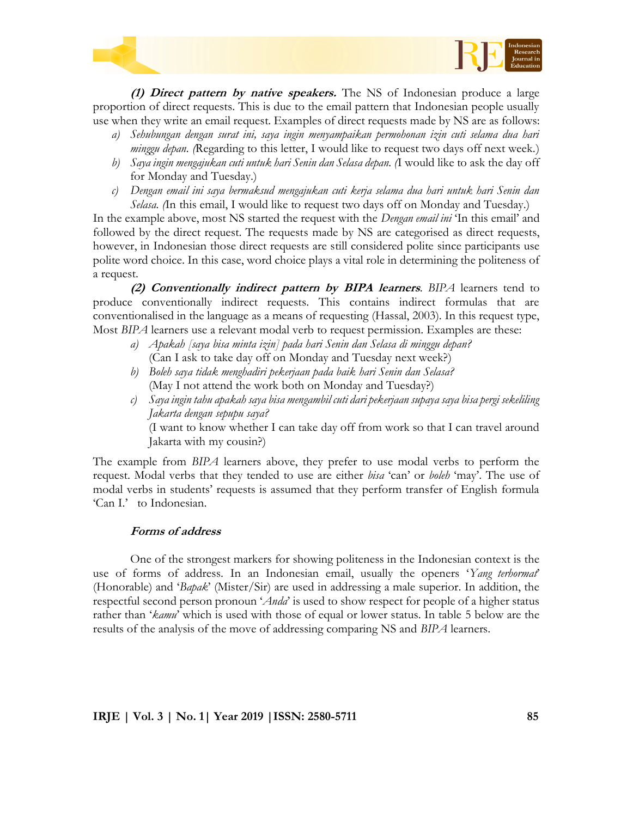



**(1) Direct pattern by native speakers.** The NS of Indonesian produce a large proportion of direct requests. This is due to the email pattern that Indonesian people usually use when they write an email request. Examples of direct requests made by NS are as follows:

- *a) Sehubungan dengan surat ini, saya ingin menyampaikan permohonan izin cuti selama dua hari minggu depan.* (Regarding to this letter, I would like to request two days off next week.)
- *b) Saya ingin mengajukan cuti untuk hari Senin dan Selasa depan. (*I would like to ask the day off for Monday and Tuesday.)
- *c) Dengan email ini saya bermaksud mengajukan cuti kerja selama dua hari untuk hari Senin dan Selasa. (*In this email, I would like to request two days off on Monday and Tuesday.)

In the example above, most NS started the request with the *Dengan email ini* "In this email" and followed by the direct request. The requests made by NS are categorised as direct requests, however, in Indonesian those direct requests are still considered polite since participants use polite word choice. In this case, word choice plays a vital role in determining the politeness of a request.

**(2) Conventionally indirect pattern by BIPA learners**. *BIPA* learners tend to produce conventionally indirect requests. This contains indirect formulas that are conventionalised in the language as a means of requesting (Hassal, 2003). In this request type, Most *BIPA* learners use a relevant modal verb to request permission. Examples are these:

- *a) Apakah [saya bisa minta izin] pada hari Senin dan Selasa di minggu depan?* (Can I ask to take day off on Monday and Tuesday next week?)
- *b) Boleh saya tidak menghadiri pekerjaan pada baik hari Senin dan Selasa?* (May I not attend the work both on Monday and Tuesday?)
- *c) Saya ingin tahu apakah saya bisa mengambil cuti dari pekerjaan supaya saya bisa pergi sekeliling Jakarta dengan sepupu saya?*

(I want to know whether I can take day off from work so that I can travel around Jakarta with my cousin?)

The example from *BIPA* learners above, they prefer to use modal verbs to perform the request. Modal verbs that they tended to use are either *bisa* "can" or *boleh* "may". The use of modal verbs in students' requests is assumed that they perform transfer of English formula 'Can I.' to Indonesian.

# **Forms of address**

One of the strongest markers for showing politeness in the Indonesian context is the use of forms of address. In an Indonesian email, usually the openers "*Yang terhormat*" (Honorable) and "*Bapak*" (Mister/Sir) are used in addressing a male superior. In addition, the respectful second person pronoun "*Anda*" is used to show respect for people of a higher status rather than "*kamu*" which is used with those of equal or lower status. In table 5 below are the results of the analysis of the move of addressing comparing NS and *BIPA* learners.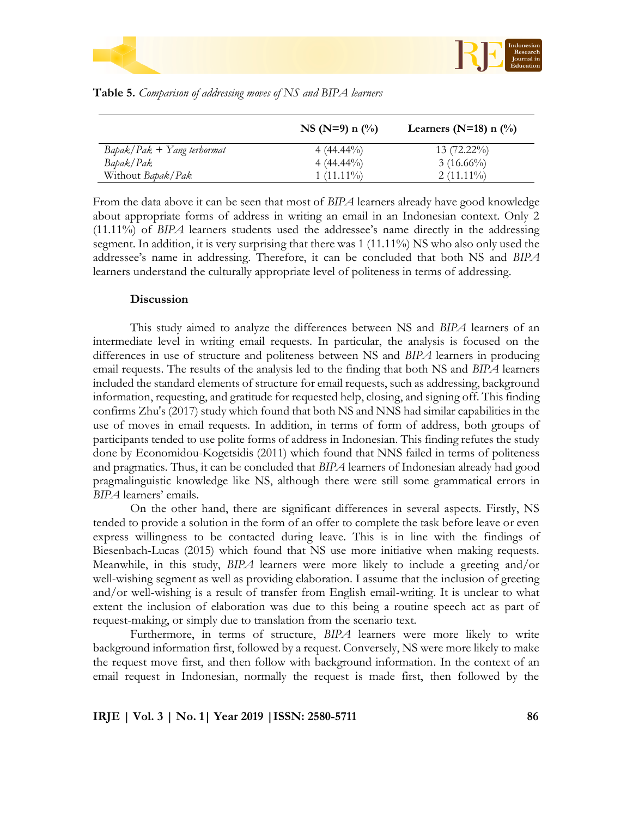



|                          | $NS(N=9) n$ (%) | Learners (N=18) n $\binom{0}{0}$ |
|--------------------------|-----------------|----------------------------------|
| $Bapak/Pak + Yang \t{t}$ | $4(44.44\%)$    | $13(72.22\%)$                    |
| Bapak/Pak                | $4(44.44\%)$    | $3(16.66\%)$                     |
| Without Bapak/Pak        | $1(11.11\%)$    | $2(11.11\%)$                     |

|  |  |  |  | <b>Table 5.</b> Comparison of addressing moves of NS and BIPA learners |  |  |
|--|--|--|--|------------------------------------------------------------------------|--|--|
|--|--|--|--|------------------------------------------------------------------------|--|--|

From the data above it can be seen that most of *BIPA* learners already have good knowledge about appropriate forms of address in writing an email in an Indonesian context. Only 2 (11.11%) of *BIPA* learners students used the addressee"s name directly in the addressing segment. In addition, it is very surprising that there was 1 (11.11%) NS who also only used the addressee"s name in addressing. Therefore, it can be concluded that both NS and *BIPA* learners understand the culturally appropriate level of politeness in terms of addressing.

#### **Discussion**

This study aimed to analyze the differences between NS and *BIPA* learners of an intermediate level in writing email requests. In particular, the analysis is focused on the differences in use of structure and politeness between NS and *BIPA* learners in producing email requests. The results of the analysis led to the finding that both NS and *BIPA* learners included the standard elements of structure for email requests, such as addressing, background information, requesting, and gratitude for requested help, closing, and signing off. This finding confirms Zhu's (2017) study which found that both NS and NNS had similar capabilities in the use of moves in email requests. In addition, in terms of form of address, both groups of participants tended to use polite forms of address in Indonesian. This finding refutes the study done by Economidou-Kogetsidis (2011) which found that NNS failed in terms of politeness and pragmatics. Thus, it can be concluded that *BIPA* learners of Indonesian already had good pragmalinguistic knowledge like NS, although there were still some grammatical errors in *BIPA* learners' emails.

On the other hand, there are significant differences in several aspects. Firstly, NS tended to provide a solution in the form of an offer to complete the task before leave or even express willingness to be contacted during leave. This is in line with the findings of Biesenbach-Lucas (2015) which found that NS use more initiative when making requests. Meanwhile, in this study, *BIPA* learners were more likely to include a greeting and/or well-wishing segment as well as providing elaboration. I assume that the inclusion of greeting and/or well-wishing is a result of transfer from English email-writing. It is unclear to what extent the inclusion of elaboration was due to this being a routine speech act as part of request-making, or simply due to translation from the scenario text.

Furthermore, in terms of structure, *BIPA* learners were more likely to write background information first, followed by a request. Conversely, NS were more likely to make the request move first, and then follow with background information. In the context of an email request in Indonesian, normally the request is made first, then followed by the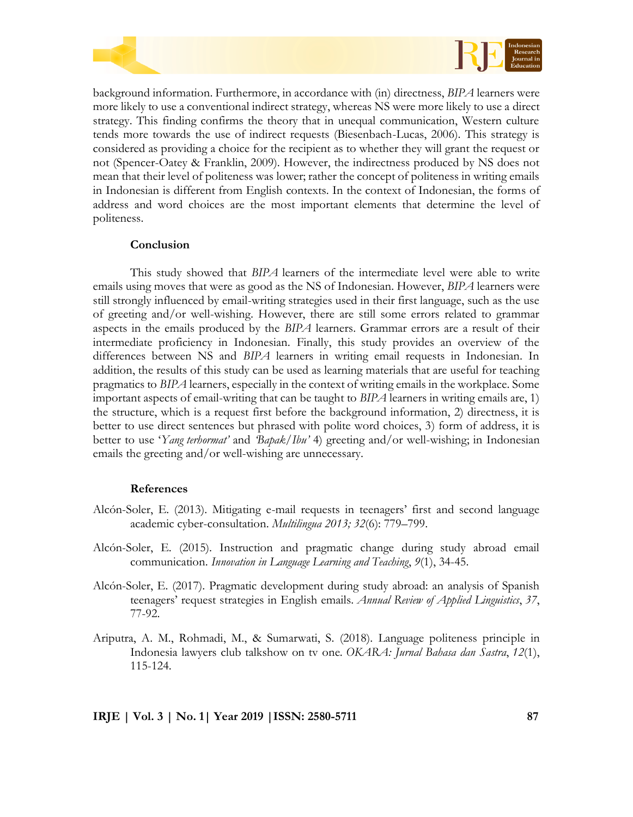



background information. Furthermore, in accordance with (in) directness, *BIPA* learners were more likely to use a conventional indirect strategy, whereas NS were more likely to use a direct strategy. This finding confirms the theory that in unequal communication, Western culture tends more towards the use of indirect requests (Biesenbach-Lucas, 2006). This strategy is considered as providing a choice for the recipient as to whether they will grant the request or not (Spencer-Oatey & Franklin, 2009). However, the indirectness produced by NS does not mean that their level of politeness was lower; rather the concept of politeness in writing emails in Indonesian is different from English contexts. In the context of Indonesian, the forms of address and word choices are the most important elements that determine the level of politeness.

## **Conclusion**

This study showed that *BIPA* learners of the intermediate level were able to write emails using moves that were as good as the NS of Indonesian. However, *BIPA* learners were still strongly influenced by email-writing strategies used in their first language, such as the use of greeting and/or well-wishing. However, there are still some errors related to grammar aspects in the emails produced by the *BIPA* learners. Grammar errors are a result of their intermediate proficiency in Indonesian. Finally, this study provides an overview of the differences between NS and *BIPA* learners in writing email requests in Indonesian. In addition, the results of this study can be used as learning materials that are useful for teaching pragmatics to *BIPA* learners, especially in the context of writing emails in the workplace. Some important aspects of email-writing that can be taught to *BIPA* learners in writing emails are, 1) the structure, which is a request first before the background information, 2) directness, it is better to use direct sentences but phrased with polite word choices, 3) form of address, it is better to use "*Yang terhormat'* and *'Bapak/Ibu'* 4) greeting and/or well-wishing; in Indonesian emails the greeting and/or well-wishing are unnecessary.

## **References**

- Alcón-Soler, E. (2013). Mitigating e-mail requests in teenagers" first and second language academic cyber-consultation. *Multilingua 2013; 32*(6): 779–799.
- Alcón-Soler, E. (2015). Instruction and pragmatic change during study abroad email communication. *Innovation in Language Learning and Teaching*, *9*(1), 34-45.
- Alcón-Soler, E. (2017). Pragmatic development during study abroad: an analysis of Spanish teenagers" request strategies in English emails. *Annual Review of Applied Linguistics*, *37*, 77-92.
- Ariputra, A. M., Rohmadi, M., & Sumarwati, S. (2018). Language politeness principle in Indonesia lawyers club talkshow on tv one. *OKARA: Jurnal Bahasa dan Sastra*, *12*(1), 115-124.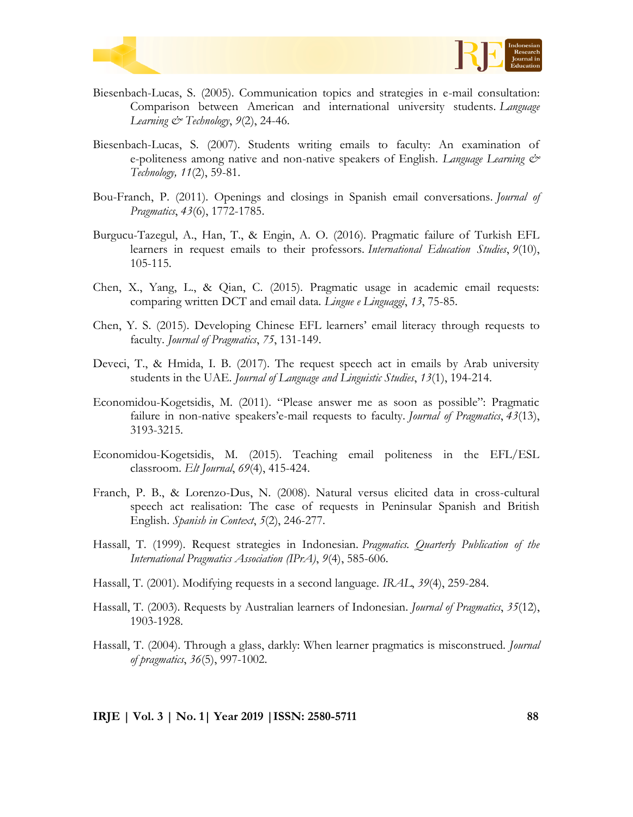



- Biesenbach-Lucas, S. (2005). Communication topics and strategies in e-mail consultation: Comparison between American and international university students. *Language Learning & Technology*, *9*(2), 24-46.
- Biesenbach-Lucas, S. (2007). Students writing emails to faculty: An examination of e-politeness among native and non-native speakers of English. *Language Learning & Technology, 11*(2), 59-81.
- Bou-Franch, P. (2011). Openings and closings in Spanish email conversations. *Journal of Pragmatics*, *43*(6), 1772-1785.
- Burgucu-Tazegul, A., Han, T., & Engin, A. O. (2016). Pragmatic failure of Turkish EFL learners in request emails to their professors. *International Education Studies*, *9*(10), 105-115.
- Chen, X., Yang, L., & Qian, C. (2015). Pragmatic usage in academic email requests: comparing written DCT and email data. *Lingue e Linguaggi*, *13*, 75-85.
- Chen, Y. S. (2015). Developing Chinese EFL learners" email literacy through requests to faculty. *Journal of Pragmatics*, *75*, 131-149.
- Deveci, T., & Hmida, I. B. (2017). The request speech act in emails by Arab university students in the UAE. *Journal of Language and Linguistic Studies*, *13*(1), 194-214.
- Economidou-Kogetsidis, M. (2011). "Please answer me as soon as possible": Pragmatic failure in non-native speakers"e-mail requests to faculty. *Journal of Pragmatics*, *43*(13), 3193-3215.
- Economidou-Kogetsidis, M. (2015). Teaching email politeness in the EFL/ESL classroom. *Elt Journal*, *69*(4), 415-424.
- Franch, P. B., & Lorenzo-Dus, N. (2008). Natural versus elicited data in cross-cultural speech act realisation: The case of requests in Peninsular Spanish and British English. *Spanish in Context*, *5*(2), 246-277.
- Hassall, T. (1999). Request strategies in Indonesian. *Pragmatics. Quarterly Publication of the International Pragmatics Association (IPrA)*, *9*(4), 585-606.
- Hassall, T. (2001). Modifying requests in a second language. *IRAL*, *39*(4), 259-284.
- Hassall, T. (2003). Requests by Australian learners of Indonesian. *Journal of Pragmatics*, *35*(12), 1903-1928.
- Hassall, T. (2004). Through a glass, darkly: When learner pragmatics is misconstrued. *Journal of pragmatics*, *36*(5), 997-1002.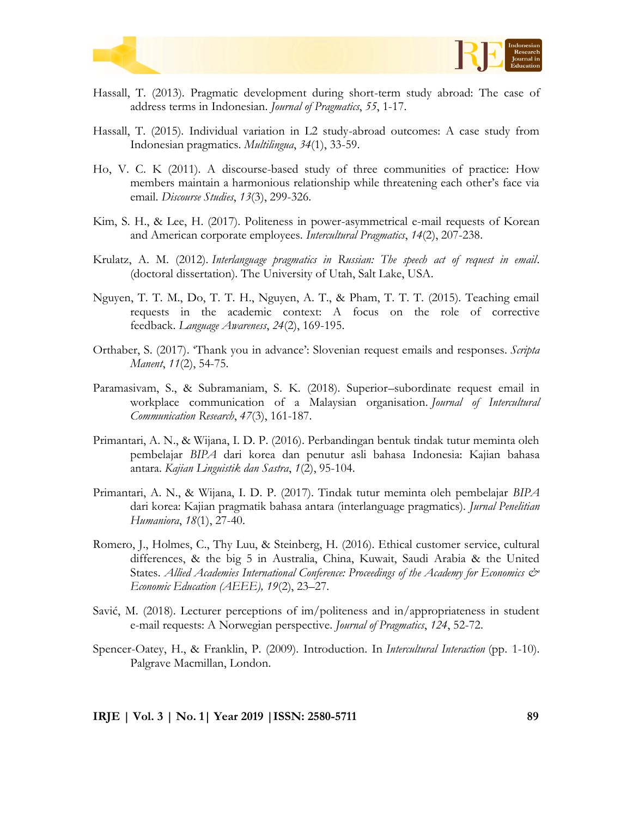



- Hassall, T. (2013). Pragmatic development during short-term study abroad: The case of address terms in Indonesian. *Journal of Pragmatics*, *55*, 1-17.
- Hassall, T. (2015). Individual variation in L2 study-abroad outcomes: A case study from Indonesian pragmatics. *Multilingua*, *34*(1), 33-59.
- Ho, V. C. K (2011). A discourse-based study of three communities of practice: How members maintain a harmonious relationship while threatening each other"s face via email. *Discourse Studies*, *13*(3), 299-326.
- Kim, S. H., & Lee, H. (2017). Politeness in power-asymmetrical e-mail requests of Korean and American corporate employees. *Intercultural Pragmatics*, *14*(2), 207-238.
- Krulatz, A. M. (2012). *Interlanguage pragmatics in Russian: The speech act of request in email*. (doctoral dissertation). The University of Utah, Salt Lake, USA.
- Nguyen, T. T. M., Do, T. T. H., Nguyen, A. T., & Pham, T. T. T. (2015). Teaching email requests in the academic context: A focus on the role of corrective feedback. *Language Awareness*, *24*(2), 169-195.
- Orthaber, S. (2017). "Thank you in advance": Slovenian request emails and responses. *Scripta Manent*, *11*(2), 54-75.
- Paramasivam, S., & Subramaniam, S. K. (2018). Superior–subordinate request email in workplace communication of a Malaysian organisation. *Journal of Intercultural Communication Research*, *47*(3), 161-187.
- Primantari, A. N., & Wijana, I. D. P. (2016). Perbandingan bentuk tindak tutur meminta oleh pembelajar *BIPA* dari korea dan penutur asli bahasa Indonesia: Kajian bahasa antara. *Kajian Linguistik dan Sastra*, *1*(2), 95-104.
- Primantari, A. N., & Wijana, I. D. P. (2017). Tindak tutur meminta oleh pembelajar *BIPA* dari korea: Kajian pragmatik bahasa antara (interlanguage pragmatics). *Jurnal Penelitian Humaniora*, *18*(1), 27-40.
- Romero, J., Holmes, C., Thy Luu, & Steinberg, H. (2016). Ethical customer service, cultural differences, & the big 5 in Australia, China, Kuwait, Saudi Arabia & the United States. *Allied Academies International Conference: Proceedings of the Academy for Economics & Economic Education (AEEE), 19*(2), 23–27.
- Savić, M. (2018). Lecturer perceptions of im/politeness and in/appropriateness in student e-mail requests: A Norwegian perspective. *Journal of Pragmatics*, *124*, 52-72.
- Spencer-Oatey, H., & Franklin, P. (2009). Introduction. In *Intercultural Interaction* (pp. 1-10). Palgrave Macmillan, London.